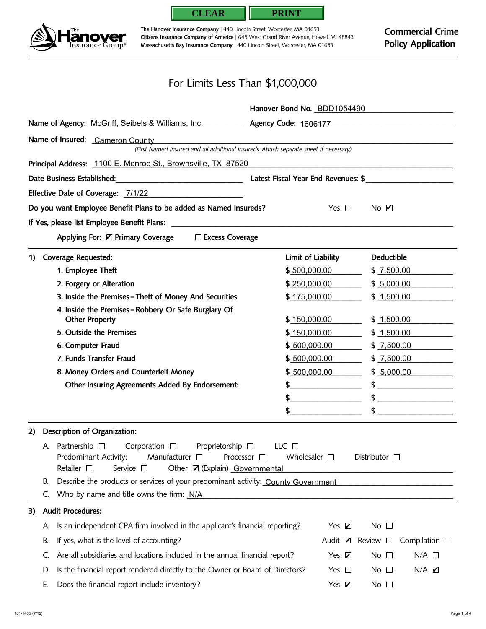



**The Hanover Insurance Company** | 440 Lincoln Street, Worcester, MA 01653 **Citizens Insurance Company of America** | 645 West Grand River Avenue, Howell, MI 48843 **Massachusetts Bay Insurance Company** | 440 Lincoln Street, Worcester, MA 01653

## For Limits Less Than \$1,000,000

|     |                                                                                                                                                                                                                                                   |                                                                                       | Hanover Bond No. BDD1054490                          |                                        |  |  |  |  |
|-----|---------------------------------------------------------------------------------------------------------------------------------------------------------------------------------------------------------------------------------------------------|---------------------------------------------------------------------------------------|------------------------------------------------------|----------------------------------------|--|--|--|--|
|     |                                                                                                                                                                                                                                                   | Name of Agency: McGriff, Seibels & Williams, Inc.                                     | Agency Code: 1606177                                 |                                        |  |  |  |  |
|     |                                                                                                                                                                                                                                                   | Name of Insured: Cameron County                                                       |                                                      |                                        |  |  |  |  |
|     |                                                                                                                                                                                                                                                   | (First Named Insured and all additional insureds. Attach separate sheet if necessary) |                                                      |                                        |  |  |  |  |
|     |                                                                                                                                                                                                                                                   | Principal Address: 1100 E. Monroe St., Brownsville, TX 87520                          |                                                      |                                        |  |  |  |  |
|     |                                                                                                                                                                                                                                                   |                                                                                       |                                                      |                                        |  |  |  |  |
|     |                                                                                                                                                                                                                                                   | Effective Date of Coverage: 7/1/22                                                    |                                                      |                                        |  |  |  |  |
|     |                                                                                                                                                                                                                                                   | Do you want Employee Benefit Plans to be added as Named Insureds?                     | Yes $\Box$                                           | No <b>Z</b>                            |  |  |  |  |
|     |                                                                                                                                                                                                                                                   |                                                                                       |                                                      |                                        |  |  |  |  |
|     |                                                                                                                                                                                                                                                   | Applying For: ☑ Primary Coverage □ Excess Coverage                                    |                                                      |                                        |  |  |  |  |
| 1). |                                                                                                                                                                                                                                                   | <b>Coverage Requested:</b>                                                            | Limit of Liability                                   | <b>Deductible</b>                      |  |  |  |  |
|     |                                                                                                                                                                                                                                                   | 1. Employee Theft                                                                     | \$500,000.00                                         | \$7,500.00                             |  |  |  |  |
|     |                                                                                                                                                                                                                                                   | 2. Forgery or Alteration                                                              | \$250,000.00                                         | \$5,000.00                             |  |  |  |  |
|     |                                                                                                                                                                                                                                                   | 3. Inside the Premises-Theft of Money And Securities                                  | \$175,000.00                                         | \$1,500.00                             |  |  |  |  |
|     | 4. Inside the Premises-Robbery Or Safe Burglary Of<br><b>Other Property</b>                                                                                                                                                                       |                                                                                       | \$150,000.00                                         | \$1,500.00                             |  |  |  |  |
|     |                                                                                                                                                                                                                                                   | 5. Outside the Premises                                                               | \$150,000.00                                         | \$1,500.00                             |  |  |  |  |
|     |                                                                                                                                                                                                                                                   | 6. Computer Fraud                                                                     | \$500,000.00                                         | \$7,500.00                             |  |  |  |  |
|     |                                                                                                                                                                                                                                                   | 7. Funds Transfer Fraud                                                               | \$500,000.00                                         | \$7,500.00                             |  |  |  |  |
|     |                                                                                                                                                                                                                                                   | 8. Money Orders and Counterfeit Money                                                 | \$500,000.00                                         | \$5,000.00                             |  |  |  |  |
|     |                                                                                                                                                                                                                                                   | Other Insuring Agreements Added By Endorsement:                                       | <u> 1980 - Andrea Station Books, ameri</u> kansk kon |                                        |  |  |  |  |
|     |                                                                                                                                                                                                                                                   |                                                                                       |                                                      | \$                                     |  |  |  |  |
|     |                                                                                                                                                                                                                                                   |                                                                                       |                                                      | $\sim$                                 |  |  |  |  |
| 2)  |                                                                                                                                                                                                                                                   | Description of Organization:                                                          |                                                      |                                        |  |  |  |  |
|     | A. Partnership $\square$ Corporation $\square$ Proprietorship $\square$<br>LLC $\Box$<br>Predominant Activity: Manufacturer □ Processor □ Wholesaler □ Distributor □<br>Retailer $\square$<br>Other Ø (Explain) Governmental<br>Service $\square$ |                                                                                       |                                                      |                                        |  |  |  |  |
|     | В.                                                                                                                                                                                                                                                | Describe the products or services of your predominant activity: County Government     |                                                      |                                        |  |  |  |  |
|     |                                                                                                                                                                                                                                                   | Who by name and title owns the firm: N/A                                              |                                                      |                                        |  |  |  |  |
| 3)  |                                                                                                                                                                                                                                                   | <b>Audit Procedures:</b>                                                              |                                                      |                                        |  |  |  |  |
|     | А.                                                                                                                                                                                                                                                | Is an independent CPA firm involved in the applicant's financial reporting?           | Yes $\nabla$                                         | No $\square$                           |  |  |  |  |
|     | В.                                                                                                                                                                                                                                                | If yes, what is the level of accounting?                                              | Audit $\blacksquare$                                 | Compilation $\Box$<br>Review $\square$ |  |  |  |  |
|     | Ċ.                                                                                                                                                                                                                                                | Are all subsidiaries and locations included in the annual financial report?           | Yes $\nabla$                                         | No $\square$<br>$N/A$ $\square$        |  |  |  |  |
|     | D.                                                                                                                                                                                                                                                | Is the financial report rendered directly to the Owner or Board of Directors?         | Yes $\Box$                                           | $N/A$ $Z$<br>No $\square$              |  |  |  |  |
|     | Е.                                                                                                                                                                                                                                                | Does the financial report include inventory?                                          | Yes $\nabla$                                         | No $\square$                           |  |  |  |  |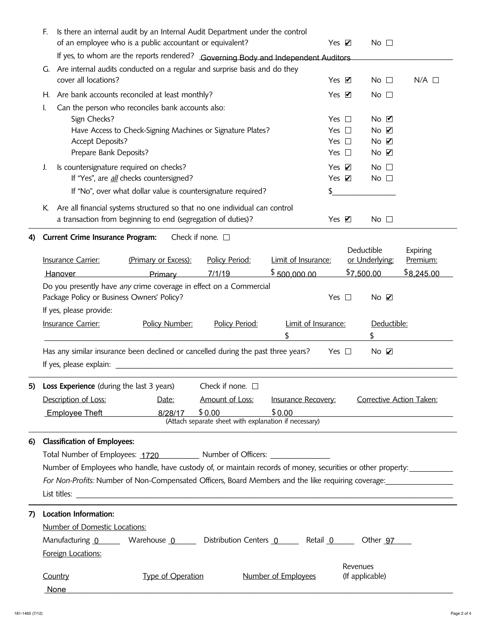|          | E.                                                                                   | Is there an internal audit by an Internal Audit Department under the control                                                                    |                                                                                                                                                                                                                                    |                                                                 |                            |                    |                             |                      |  |
|----------|--------------------------------------------------------------------------------------|-------------------------------------------------------------------------------------------------------------------------------------------------|------------------------------------------------------------------------------------------------------------------------------------------------------------------------------------------------------------------------------------|-----------------------------------------------------------------|----------------------------|--------------------|-----------------------------|----------------------|--|
|          | of an employee who is a public accountant or equivalent?                             |                                                                                                                                                 |                                                                                                                                                                                                                                    |                                                                 |                            | Yes $\nabla$       | No $\square$                |                      |  |
|          |                                                                                      | If yes, to whom are the reports rendered? Governing Body and Independent Auditors                                                               |                                                                                                                                                                                                                                    |                                                                 |                            |                    |                             |                      |  |
|          |                                                                                      | G. Are internal audits conducted on a regular and surprise basis and do they<br>cover all locations?<br>Yes $\blacksquare$                      |                                                                                                                                                                                                                                    |                                                                 |                            |                    | No $\square$                | $N/A$ $\square$      |  |
|          |                                                                                      |                                                                                                                                                 | H. Are bank accounts reconciled at least monthly?                                                                                                                                                                                  |                                                                 |                            | Yes $\blacksquare$ | No $\square$                |                      |  |
|          | Can the person who reconciles bank accounts also:<br>I.                              |                                                                                                                                                 |                                                                                                                                                                                                                                    |                                                                 |                            |                    |                             |                      |  |
|          |                                                                                      | Sign Checks?                                                                                                                                    |                                                                                                                                                                                                                                    |                                                                 |                            | Yes $\Box$         | $No$ $\blacksquare$         |                      |  |
|          | Have Access to Check-Signing Machines or Signature Plates?                           |                                                                                                                                                 |                                                                                                                                                                                                                                    |                                                                 |                            | Yes $\Box$         | NoZ                         |                      |  |
|          |                                                                                      | <b>Accept Deposits?</b>                                                                                                                         |                                                                                                                                                                                                                                    |                                                                 |                            | Yes $\square$      | NoZ                         |                      |  |
|          |                                                                                      | Prepare Bank Deposits?                                                                                                                          |                                                                                                                                                                                                                                    |                                                                 |                            | Yes $\square$      | $No$ $Z$                    |                      |  |
|          | J.                                                                                   |                                                                                                                                                 | Is countersignature required on checks?                                                                                                                                                                                            |                                                                 |                            | Yes $\nabla$       | No $\square$                |                      |  |
|          |                                                                                      |                                                                                                                                                 | If "Yes", are <i>all</i> checks countersigned?                                                                                                                                                                                     |                                                                 |                            | Yes $\nabla$       | No $\square$                |                      |  |
|          |                                                                                      |                                                                                                                                                 | If "No", over what dollar value is countersignature required?                                                                                                                                                                      |                                                                 | \$                         |                    |                             |                      |  |
|          | К.                                                                                   |                                                                                                                                                 | Are all financial systems structured so that no one individual can control                                                                                                                                                         |                                                                 |                            |                    |                             |                      |  |
|          |                                                                                      |                                                                                                                                                 | a transaction from beginning to end (segregation of duties)?                                                                                                                                                                       |                                                                 |                            | Yes $\nabla$       | No $\square$                |                      |  |
|          |                                                                                      | <b>Current Crime Insurance Program:</b>                                                                                                         |                                                                                                                                                                                                                                    | Check if none. $\square$                                        |                            |                    |                             |                      |  |
| 4)       |                                                                                      |                                                                                                                                                 |                                                                                                                                                                                                                                    |                                                                 |                            |                    | Deductible                  |                      |  |
|          |                                                                                      | <b>Insurance Carrier:</b>                                                                                                                       | (Primary or Excess):                                                                                                                                                                                                               | Policy Period:                                                  | Limit of Insurance:        |                    | or Underlying:              | Expiring<br>Premium: |  |
|          |                                                                                      | <b>Hanover</b>                                                                                                                                  | Primary                                                                                                                                                                                                                            | 7/1/19                                                          | \$500,000.00               |                    | \$7,500.00                  | \$8,245.00           |  |
|          |                                                                                      |                                                                                                                                                 | Do you presently have any crime coverage in effect on a Commercial                                                                                                                                                                 |                                                                 |                            |                    |                             |                      |  |
|          |                                                                                      | Package Policy or Business Owners' Policy?                                                                                                      |                                                                                                                                                                                                                                    |                                                                 |                            | Yes $\square$      | NoZ                         |                      |  |
|          |                                                                                      | If yes, please provide:                                                                                                                         |                                                                                                                                                                                                                                    |                                                                 |                            |                    |                             |                      |  |
|          | Limit of Insurance:<br><b>Insurance Carrier:</b><br>Policy Number:<br>Policy Period: |                                                                                                                                                 |                                                                                                                                                                                                                                    |                                                                 |                            |                    | Deductible:                 |                      |  |
|          | \$                                                                                   |                                                                                                                                                 |                                                                                                                                                                                                                                    |                                                                 |                            |                    | \$                          |                      |  |
|          |                                                                                      |                                                                                                                                                 |                                                                                                                                                                                                                                    |                                                                 |                            |                    |                             |                      |  |
|          |                                                                                      | Has any similar insurance been declined or cancelled during the past three years?<br>Yes $\Box$<br>$No$ $\mathbf{Z}$<br>If yes, please explain: |                                                                                                                                                                                                                                    |                                                                 |                            |                    |                             |                      |  |
|          |                                                                                      |                                                                                                                                                 |                                                                                                                                                                                                                                    |                                                                 |                            |                    |                             |                      |  |
| 5)       |                                                                                      | Loss Experience (during the last 3 years)<br>Check if none. $\square$                                                                           |                                                                                                                                                                                                                                    |                                                                 |                            |                    |                             |                      |  |
|          | Description of Loss:                                                                 |                                                                                                                                                 |                                                                                                                                                                                                                                    |                                                                 |                            |                    |                             |                      |  |
|          |                                                                                      |                                                                                                                                                 | Date:                                                                                                                                                                                                                              | Amount of Loss:                                                 | <b>Insurance Recovery:</b> |                    | Corrective Action Taken:    |                      |  |
|          |                                                                                      |                                                                                                                                                 |                                                                                                                                                                                                                                    |                                                                 |                            |                    |                             |                      |  |
|          |                                                                                      | Employee Theft                                                                                                                                  | 8/28/17                                                                                                                                                                                                                            | \$0.00<br>(Attach separate sheet with explanation if necessary) | \$0.00                     |                    |                             |                      |  |
|          |                                                                                      |                                                                                                                                                 |                                                                                                                                                                                                                                    |                                                                 |                            |                    |                             |                      |  |
|          |                                                                                      | <b>Classification of Employees:</b>                                                                                                             |                                                                                                                                                                                                                                    |                                                                 |                            |                    |                             |                      |  |
|          |                                                                                      |                                                                                                                                                 | Total Number of Employees: 1720 Number of Officers: 2010 2010                                                                                                                                                                      |                                                                 |                            |                    |                             |                      |  |
|          |                                                                                      |                                                                                                                                                 | Number of Employees who handle, have custody of, or maintain records of money, securities or other property:                                                                                                                       |                                                                 |                            |                    |                             |                      |  |
|          |                                                                                      |                                                                                                                                                 | For Non-Profits: Number of Non-Compensated Officers, Board Members and the like requiring coverage:                                                                                                                                |                                                                 |                            |                    |                             |                      |  |
|          |                                                                                      |                                                                                                                                                 | List titles: <u>Alexander Communication</u> Control of the Communication of the Communication of the Communication of the Communication of the Communication of the Communication of the Communication of the Communication of the |                                                                 |                            |                    |                             |                      |  |
|          |                                                                                      | Location Information:                                                                                                                           |                                                                                                                                                                                                                                    |                                                                 |                            |                    |                             |                      |  |
|          |                                                                                      |                                                                                                                                                 |                                                                                                                                                                                                                                    |                                                                 |                            |                    |                             |                      |  |
|          |                                                                                      | Number of Domestic Locations:                                                                                                                   |                                                                                                                                                                                                                                    |                                                                 |                            |                    |                             |                      |  |
|          |                                                                                      |                                                                                                                                                 | Manufacturing 0 Warehouse 0 Distribution Centers 0 Retail 0 Other 97                                                                                                                                                               |                                                                 |                            |                    |                             |                      |  |
|          |                                                                                      | Foreign Locations:                                                                                                                              |                                                                                                                                                                                                                                    |                                                                 |                            |                    |                             |                      |  |
| 6)<br>7) |                                                                                      | Country                                                                                                                                         | <b>Type of Operation</b>                                                                                                                                                                                                           |                                                                 | Number of Employees        |                    | Revenues<br>(If applicable) |                      |  |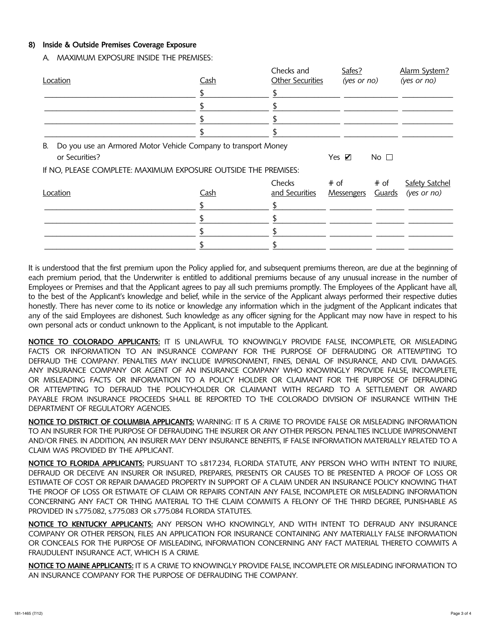## **8) Inside & Outside Premises Coverage Exposure**

A. MAXIMUM EXPOSURE INSIDE THE PREMISES:

| Location                                                                                                                                                 | <b>Cash</b> | Checks and<br>Other Securities |                           | $(yes$ or no)  | Alarm System?<br>(yes or no)           |  |
|----------------------------------------------------------------------------------------------------------------------------------------------------------|-------------|--------------------------------|---------------------------|----------------|----------------------------------------|--|
|                                                                                                                                                          |             |                                |                           |                |                                        |  |
|                                                                                                                                                          |             |                                |                           |                |                                        |  |
|                                                                                                                                                          |             |                                |                           |                |                                        |  |
|                                                                                                                                                          |             |                                |                           |                |                                        |  |
| Do you use an Armored Motor Vehicle Company to transport Money<br>В.<br>or Securities?<br>If NO, PLEASE COMPLETE: MAXIMUM EXPOSURE OUTSIDE THE PREMISES: |             |                                | Yes $\nabla$              | No $\Box$      |                                        |  |
| Location                                                                                                                                                 | Cash        | Checks<br>and Securities       | # of<br><b>Messengers</b> | # of<br>Guards | <b>Safety Satchel</b><br>$(yes$ or no) |  |
|                                                                                                                                                          |             |                                |                           |                |                                        |  |
|                                                                                                                                                          |             |                                |                           |                |                                        |  |
|                                                                                                                                                          |             |                                |                           |                |                                        |  |

It is understood that the first premium upon the Policy applied for, and subsequent premiums thereon, are due at the beginning of each premium period, that the Underwriter is entitled to additional premiums because of any unusual increase in the number of Employees or Premises and that the Applicant agrees to pay all such premiums promptly. The Employees of the Applicant have all, to the best of the Applicant's knowledge and belief, while in the service of the Applicant always performed their respective duties honestly. There has never come to its notice or knowledge any information which in the judgment of the Applicant indicates that any of the said Employees are dishonest. Such knowledge as any officer signing for the Applicant may now have in respect to his own personal acts or conduct unknown to the Applicant, is not imputable to the Applicant.

**NOTICE TO COLORADO APPLICANTS:** IT IS UNLAWFUL TO KNOWINGLY PROVIDE FALSE, INCOMPLETE, OR MISLEADING FACTS OR INFORMATION TO AN INSURANCE COMPANY FOR THE PURPOSE OF DEFRAUDING OR ATTEMPTING TO DEFRAUD THE COMPANY. PENALTIES MAY INCLUDE IMPRISONMENT, FINES, DENIAL OF INSURANCE, AND CIVIL DAMAGES. ANY INSURANCE COMPANY OR AGENT OF AN INSURANCE COMPANY WHO KNOWINGLY PROVIDE FALSE, INCOMPLETE, OR MISLEADING FACTS OR INFORMATION TO A POLICY HOLDER OR CLAIMANT FOR THE PURPOSE OF DEFRAUDING OR ATTEMPTING TO DEFRAUD THE POLICYHOLDER OR CLAIMANT WITH REGARD TO A SETTLEMENT OR AWARD PAYABLE FROM INSURANCE PROCEEDS SHALL BE REPORTED TO THE COLORADO DIVISION OF INSURANCE WITHIN THE DEPARTMENT OF REGULATORY AGENCIES.

**NOTICE TO DISTRICT OF COLUMBIA APPLICANTS:** WARNING: IT IS A CRIME TO PROVIDE FALSE OR MISLEADING INFORMATION TO AN INSURER FOR THE PURPOSE OF DEFRAUDING THE INSURER OR ANY OTHER PERSON. PENALTIES INCLUDE IMPRISONMENT AND/OR FINES. IN ADDITION, AN INSURER MAY DENY INSURANCE BENEFITS, IF FALSE INFORMATION MATERIALLY RELATED TO A CLAIM WAS PROVIDED BY THE APPLICANT.

**NOTICE TO FLORIDA APPLICANTS:** PURSUANT TO s.817.234, FLORIDA STATUTE, ANY PERSON WHO WITH INTENT TO INJURE, DEFRAUD OR DECEIVE AN INSURER OR INSURED, PREPARES, PRESENTS OR CAUSES TO BE PRESENTED A PROOF OF LOSS OR ESTIMATE OF COST OR REPAIR DAMAGED PROPERTY IN SUPPORT OF A CLAIM UNDER AN INSURANCE POLICY KNOWING THAT THE PROOF OF LOSS OR ESTIMATE OF CLAIM OR REPAIRS CONTAIN ANY FALSE, INCOMPLETE OR MISLEADING INFORMATION CONCERNING ANY FACT OR THING MATERIAL TO THE CLAIM COMMITS A FELONY OF THE THIRD DEGREE, PUNISHABLE AS PROVIDED IN s.775.082, s.775.083 OR s.775.084 FLORIDA STATUTES.

**NOTICE TO KENTUCKY APPLICANTS:** ANY PERSON WHO KNOWINGLY, AND WITH INTENT TO DEFRAUD ANY INSURANCE COMPANY OR OTHER PERSON, FILES AN APPLICATION FOR INSURANCE CONTAINING ANY MATERIALLY FALSE INFORMATION OR CONCEALS FOR THE PURPOSE OF MISLEADING, INFORMATION CONCERNING ANY FACT MATERIAL THERETO COMMITS A FRAUDULENT INSURANCE ACT, WHICH IS A CRIME.

**NOTICE TO MAINE APPLICANTS:** IT IS A CRIME TO KNOWINGLY PROVIDE FALSE, INCOMPLETE OR MISLEADING INFORMATION TO AN INSURANCE COMPANY FOR THE PURPOSE OF DEFRAUDING THE COMPANY.